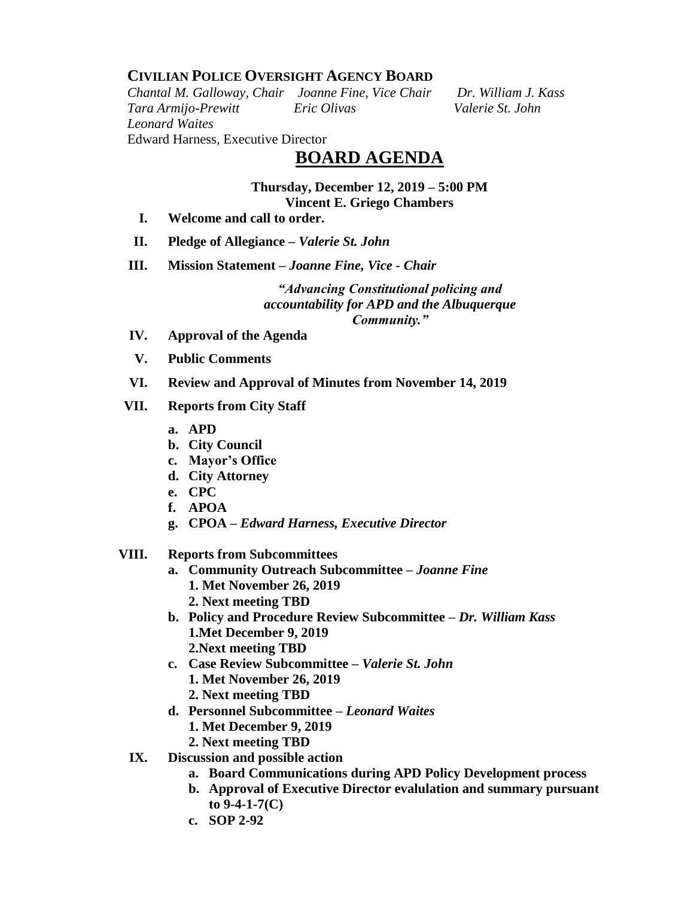### **CIVILIAN POLICE OVERSIGHT AGENCY BOARD**

*Chantal M. Galloway, Chair Joanne Fine, Vice Chair Dr. William J. Kass Tara Armijo-Prewitt Eric Olivas Valerie St. John Leonard Waites* Edward Harness, Executive Director

# **BOARD AGENDA**

## **Thursday, December 12, 2019 – 5:00 PM**

- **Vincent E. Griego Chambers**
- **I. Welcome and call to order.**
- **II. Pledge of Allegiance –** *Valerie St. John*
- **III. Mission Statement –** *Joanne Fine, Vice - Chair*

*"Advancing Constitutional policing and accountability for APD and the Albuquerque Community."*

- **IV. Approval of the Agenda**
- **V. Public Comments**
- **VI. Review and Approval of Minutes from November 14, 2019**

#### **VII. Reports from City Staff**

- **a. APD**
- **b. City Council**
- **c. Mayor's Office**
- **d. City Attorney**
- **e. CPC**
- **f. APOA**
- **g. CPOA –** *Edward Harness, Executive Director*

#### **VIII. Reports from Subcommittees**

- **a. Community Outreach Subcommittee –** *Joanne Fine* **1. Met November 26, 2019 2. Next meeting TBD**
- **b. Policy and Procedure Review Subcommittee –** *Dr. William Kass* **1.Met December 9, 2019 2.Next meeting TBD**
- **c. Case Review Subcommittee –** *Valerie St. John* **1. Met November 26, 2019**
	- **2. Next meeting TBD**
- **d. Personnel Subcommittee** *– Leonard Waites*
	- **1. Met December 9, 2019**
	- **2. Next meeting TBD**
- **IX. Discussion and possible action** 
	- **a. Board Communications during APD Policy Development process**
	- **b. Approval of Executive Director evalulation and summary pursuant to 9-4-1-7(C)**
	- **c. SOP 2-92**